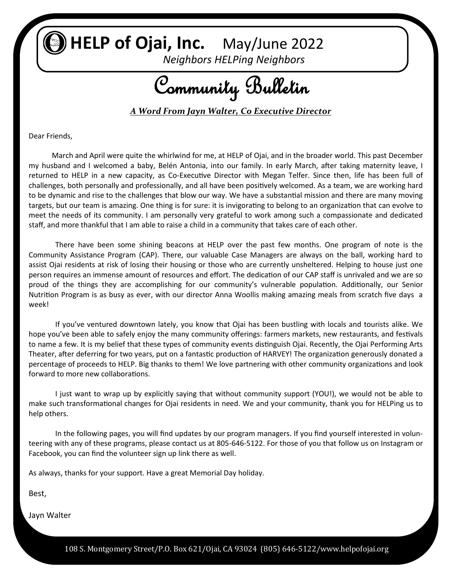**HELP of Ojai, Inc.** May/June 2022

*Neighbors HELPing Neighbors*

Community Bulletin

*A Word From Jayn Walter, Co Executive Director*

Dear Friends,

 March and April were quite the whirlwind for me, at HELP of Ojai, and in the broader world. This past December my husband and I welcomed a baby, Belén Antonia, into our family. In early March, after taking maternity leave, I returned to HELP in a new capacity, as Co-Executive Director with Megan Telfer. Since then, life has been full of challenges, both personally and professionally, and all have been positively welcomed. As a team, we are working hard to be dynamic and rise to the challenges that blow our way. We have a substantial mission and there are many moving targets, but our team is amazing. One thing is for sure: it is invigorating to belong to an organization that can evolve to meet the needs of its community. I am personally very grateful to work among such a compassionate and dedicated staff, and more thankful that I am able to raise a child in a community that takes care of each other.

There have been some shining beacons at HELP over the past few months. One program of note is the Community Assistance Program (CAP). There, our valuable Case Managers are always on the ball, working hard to assist Ojai residents at risk of losing their housing or those who are currently unsheltered. Helping to house just one person requires an immense amount of resources and effort. The dedication of our CAP staff is unrivaled and we are so proud of the things they are accomplishing for our community's vulnerable population. Additionally, our Senior Nutrition Program is as busy as ever, with our director Anna Woollis making amazing meals from scratch five days a week!

If you've ventured downtown lately, you know that Ojai has been bustling with locals and tourists alike. We hope you've been able to safely enjoy the many community offerings: farmers markets, new restaurants, and festivals to name a few. It is my belief that these types of community events distinguish Ojai. Recently, the Ojai Performing Arts Theater, after deferring for two years, put on a fantastic production of HARVEY! The organization generously donated a percentage of proceeds to HELP. Big thanks to them! We love partnering with other community organizations and look forward to more new collaborations.

I just want to wrap up by explicitly saying that without community support (YOU!), we would not be able to make such transformational changes for Ojai residents in need. We and your community, thank you for HELPing us to help others.

In the following pages, you will find updates by our program managers. If you find yourself interested in volunteering with any of these programs, please contact us at 805-646-5122. For those of you that follow us on Instagram or Facebook, you can find the volunteer sign up link there as well.

As always, thanks for your support. Have a great Memorial Day holiday.

Best,

Jayn Walter

108 S. Montgomery Street/P.O. Box 621/Ojai, CA 93024 (805) 646-5122/www.helpofojai.org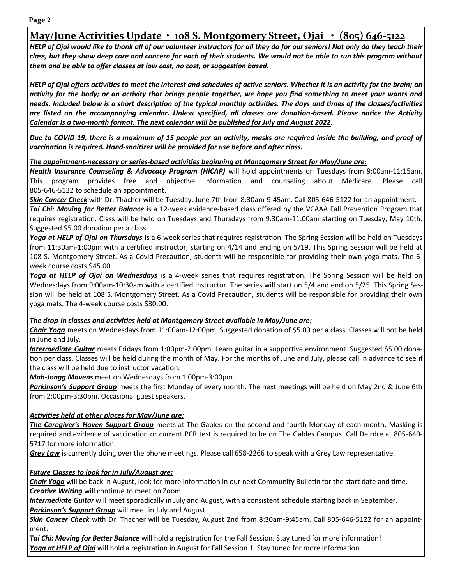**Page 2**

# **May/June Activities Update • 108 S. Montgomery Street, Ojai • (805) 646-5122**

*HELP of Ojai would like to thank all of our volunteer instructors for all they do for our seniors! Not only do they teach their class, but they show deep care and concern for each of their students. We would not be able to run this program without them and be able to offer classes at low cost, no cost, or suggestion based.*

*HELP of Ojai offers activities to meet the interest and schedules of active seniors. Whether it is an activity for the brain; an activity for the body; or an activity that brings people together, we hope you find something to meet your wants and needs. Included below is a short description of the typical monthly activities. The days and times of the classes/activities are listed on the accompanying calendar. Unless specified, all classes are donation-based. Please notice the Activity Calendar is a two-month format. The next calendar will be published for July and August 2022.* 

*Due to COVID-19, there is a maximum of 15 people per an activity, masks are required inside the building, and proof of vaccination is required. Hand-sanitizer will be provided for use before and after class.* 

#### *The appointment-necessary or series-based activities beginning at Montgomery Street for May/June are:*

*Health Insurance Counseling & Advocacy Program (HICAP)* will hold appointments on Tuesdays from 9:00am-11:15am. This program provides free and objective information and counseling about Medicare. Please call 805-646-5122 to schedule an appointment.

*Skin Cancer Check* with Dr. Thacher will be Tuesday, June 7th from 8:30am-9:45am. Call 805-646-5122 for an appointment. *Tai Chi: Moving for Better Balance* is a 12-week evidence-based class offered by the VCAAA Fall Prevention Program that requires registration. Class will be held on Tuesdays and Thursdays from 9:30am-11:00am starting on Tuesday, May 10th. Suggested \$5.00 donation per a class

*Yoga at HELP of Ojai on Thursdays* is a 6-week series that requires registration. The Spring Session will be held on Tuesdays from 11:30am-1:00pm with a certified instructor, starting on 4/14 and ending on 5/19. This Spring Session will be held at 108 S. Montgomery Street. As a Covid Precaution, students will be responsible for providing their own yoga mats. The 6 week course costs \$45.00.

*Yoga at HELP of Ojai on Wednesdays* is a 4-week series that requires registration. The Spring Session will be held on Wednesdays from 9:00am-10:30am with a certified instructor. The series will start on 5/4 and end on 5/25. This Spring Session will be held at 108 S. Montgomery Street. As a Covid Precaution, students will be responsible for providing their own yoga mats. The 4-week course costs \$30.00.

#### *The drop-in classes and activities held at Montgomery Street available in May/June are:*

*Chair Yoga* meets on Wednesdays from 11:00am-12:00pm. Suggested donation of \$5.00 per a class. Classes will not be held in June and July.

*Intermediate Guitar* meets Fridays from 1:00pm-2:00pm. Learn guitar in a supportive environment. Suggested \$5.00 donation per class. Classes will be held during the month of May. For the months of June and July, please call in advance to see if the class will be held due to instructor vacation.

*Mah-Jongg Mavens* meet on Wednesdays from 1:00pm-3:00pm.

*Parkinson's Support Group* meets the first Monday of every month. The next meetings will be held on May 2nd & June 6th from 2:00pm-3:30pm. Occasional guest speakers.

#### *Activities held at other places for May/June are:*

*The Caregiver's Haven Support Group* meets at The Gables on the second and fourth Monday of each month. Masking is required and evidence of vaccination or current PCR test is required to be on The Gables Campus. Call Deirdre at 805-640- 5717 for more information.

*Grey Law* is currently doing over the phone meetings. Please call 658-2266 to speak with a Grey Law representative.

#### *Future Classes to look for in July/August are:*

*Chair Yoga* will be back in August, look for more information in our next Community Bulletin for the start date and time. *Creative Writing* will continue to meet on Zoom.

*Intermediate Guitar* will meet sporadically in July and August, with a consistent schedule starting back in September. *Parkinson's Support Group* will meet in July and August.

*Skin Cancer Check* with Dr. Thacher will be Tuesday, August 2nd from 8:30am-9:45am. Call 805-646-5122 for an appointment.

*Tai Chi: Moving for Better Balance* will hold a registration for the Fall Session. Stay tuned for more information! *Yoga at HELP of Ojai* will hold a registration in August for Fall Session 1. Stay tuned for more information.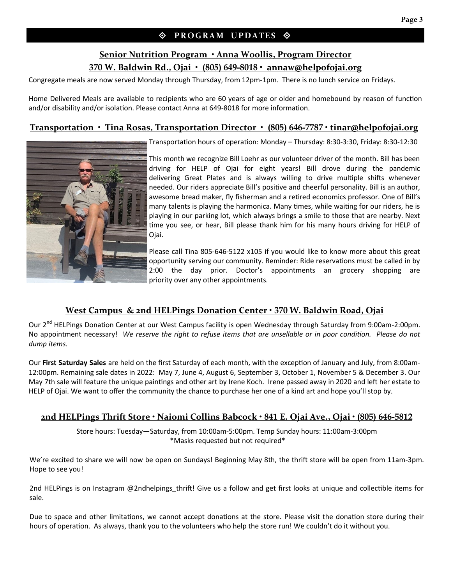#### $\Diamond$  PROGRAM UPDATES  $\Diamond$

### **Senior Nutrition Program • Anna Woollis, Program Director 370 W. Baldwin Rd., Ojai • (805) 649-8018 • annaw@helpofojai.org**

Congregate meals are now served Monday through Thursday, from 12pm-1pm. There is no lunch service on Fridays.

Home Delivered Meals are available to recipients who are 60 years of age or older and homebound by reason of function and/or disability and/or isolation. Please contact Anna at 649-8018 for more information.

#### **Transportation • Tina Rosas, Transportation Director • (805) 646-7787 • tinar@helpofojai.org**



Transportation hours of operation: Monday – Thursday: 8:30-3:30, Friday: 8:30-12:30

This month we recognize Bill Loehr as our volunteer driver of the month. Bill has been driving for HELP of Ojai for eight years! Bill drove during the pandemic delivering Great Plates and is always willing to drive multiple shifts whenever needed. Our riders appreciate Bill's positive and cheerful personality. Bill is an author, awesome bread maker, fly fisherman and a retired economics professor. One of Bill's many talents is playing the harmonica. Many times, while waiting for our riders, he is playing in our parking lot, which always brings a smile to those that are nearby. Next time you see, or hear, Bill please thank him for his many hours driving for HELP of Ojai.

Please call Tina 805-646-5122 x105 if you would like to know more about this great opportunity serving our community. Reminder: Ride reservations must be called in by 2:00 the day prior. Doctor's appointments an grocery shopping are priority over any other appointments.

#### **West Campus & 2nd HELPings Donation Center • 370 W. Baldwin Road, Ojai**

Our 2<sup>nd</sup> HELPings Donation Center at our West Campus facility is open Wednesday through Saturday from 9:00am-2:00pm. No appointment necessary! *We reserve the right to refuse items that are unsellable or in poor condition. Please do not dump items.*

Our **First Saturday Sales** are held on the first Saturday of each month, with the exception of January and July, from 8:00am-12:00pm. Remaining sale dates in 2022: May 7, June 4, August 6, September 3, October 1, November 5 & December 3. Our May 7th sale will feature the unique paintings and other art by Irene Koch. Irene passed away in 2020 and left her estate to HELP of Ojai. We want to offer the community the chance to purchase her one of a kind art and hope you'll stop by.

#### **2nd HELPings Thrift Store • Naiomi Collins Babcock • 841 E. Ojai Ave., Ojai • (805) 646-5812**

Store hours: Tuesday—Saturday, from 10:00am-5:00pm. Temp Sunday hours: 11:00am-3:00pm \*Masks requested but not required\*

We're excited to share we will now be open on Sundays! Beginning May 8th, the thrift store will be open from 11am-3pm. Hope to see you!

2nd HELPings is on Instagram @2ndhelpings thrift! Give us a follow and get first looks at unique and collectible items for sale.

Due to space and other limitations, we cannot accept donations at the store. Please visit the donation store during their hours of operation. As always, thank you to the volunteers who help the store run! We couldn't do it without you.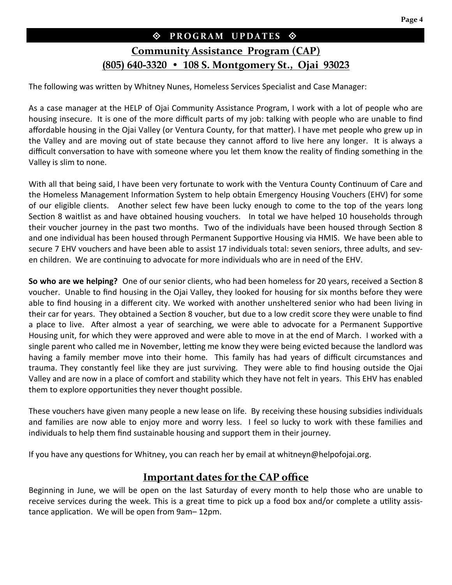# $\Diamond$  PROGRAM UPDATES  $\Diamond$

# **Community Assistance Program (CAP) (805) 640-3320 • 108 S. Montgomery St., Ojai 93023**

The following was written by Whitney Nunes, Homeless Services Specialist and Case Manager:

As a case manager at the HELP of Ojai Community Assistance Program, I work with a lot of people who are housing insecure. It is one of the more difficult parts of my job: talking with people who are unable to find affordable housing in the Ojai Valley (or Ventura County, for that matter). I have met people who grew up in the Valley and are moving out of state because they cannot afford to live here any longer. It is always a difficult conversation to have with someone where you let them know the reality of finding something in the Valley is slim to none.

With all that being said, I have been very fortunate to work with the Ventura County Continuum of Care and the Homeless Management Information System to help obtain Emergency Housing Vouchers (EHV) for some of our eligible clients. Another select few have been lucky enough to come to the top of the years long Section 8 waitlist as and have obtained housing vouchers. In total we have helped 10 households through their voucher journey in the past two months. Two of the individuals have been housed through Section 8 and one individual has been housed through Permanent Supportive Housing via HMIS. We have been able to secure 7 EHV vouchers and have been able to assist 17 individuals total: seven seniors, three adults, and seven children. We are continuing to advocate for more individuals who are in need of the EHV.

**So who are we helping?** One of our senior clients, who had been homeless for 20 years, received a Section 8 voucher. Unable to find housing in the Ojai Valley, they looked for housing for six months before they were able to find housing in a different city. We worked with another unsheltered senior who had been living in their car for years. They obtained a Section 8 voucher, but due to a low credit score they were unable to find a place to live. After almost a year of searching, we were able to advocate for a Permanent Supportive Housing unit, for which they were approved and were able to move in at the end of March. I worked with a single parent who called me in November, letting me know they were being evicted because the landlord was having a family member move into their home. This family has had years of difficult circumstances and trauma. They constantly feel like they are just surviving. They were able to find housing outside the Ojai Valley and are now in a place of comfort and stability which they have not felt in years. This EHV has enabled them to explore opportunities they never thought possible.

These vouchers have given many people a new lease on life. By receiving these housing subsidies individuals and families are now able to enjoy more and worry less. I feel so lucky to work with these families and individuals to help them find sustainable housing and support them in their journey.

If you have any questions for Whitney, you can reach her by email at whitneyn@helpofojai.org.

## **Important dates for the CAP office**

Beginning in June, we will be open on the last Saturday of every month to help those who are unable to receive services during the week. This is a great time to pick up a food box and/or complete a utility assistance application. We will be open from 9am– 12pm.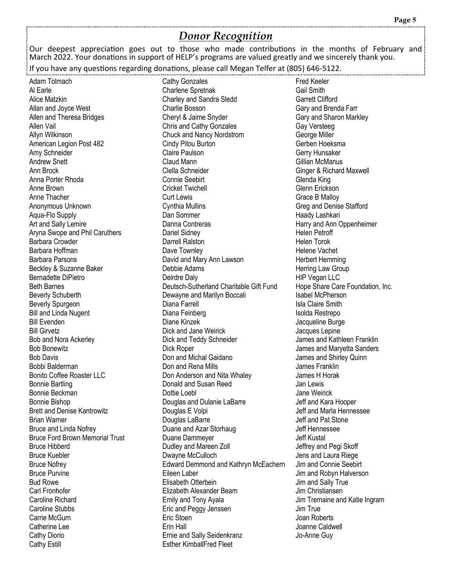## *Donor Recognition*

Our deepest appreciation goes out to those who made contributions in the months of February and March 2022. Your donations in support of HELP's programs are valued greatly and we sincerely thank you.

If you have any questions regarding donations, please call Megan Telfer at (805) 646-5122.

Adam Tolmach Al Earle Alice Matzkin Allan and Joyce West Allen and Theresa Bridges Allen Vail Allyn Wilkinson American Legion Post 482 Amy Schneider Andrew Snett Ann Brock Anna Porter Rhoda Anne Brown Anne Thacher Anonymous Unknown Aqua-Flo Supply Art and Sally Lemire Aryna Swope and Phil Caruthers Barbara Crowder Barbara Hoffman Barbara Parsons Beckley & Suzanne Baker Bernadette DiPietro Beth Barnes Beverly Schuberth Beverly Spurgeon Bill and Linda Nugent Bill Evenden Bill Girvetz Bob and Nora Ackerley Bob Bonewitz Bob Davis Bobbi Balderman Bonito Coffee Roaster LLC Bonnie Bartling Bonnie Beckman Bonnie Bishop Brett and Denise Kantrowitz Brian Warner Bruce and Linda Nofrey Bruce Ford Brown Memorial Trust Bruce Hibberd Bruce Kuebler Bruce Nofrey Bruce Purvine Bud Rowe Carl Fronhofer Caroline Richard Caroline Stubbs Carrie McGurn Catherine Lee Cathy Diorio Cathy Estill

Cathy Gonzales Charlene Spretnak Charley and Sandra Sledd Charlie Bosson Cheryl & Jaime Snyder Chris and Cathy Gonzales Chuck and Nancy Nordstrom Cindy Pitou Burton Claire Paulson Claud Mann Clella Schneider Connie Seebirt Cricket Twichell Curt Lewis Cynthia Mullins Dan Sommer Danna Contreras Dariel Sidney Darrell Ralston Dave Townley David and Mary Ann Lawson Debbie Adams Deirdre Daly Deutsch-Sutherland Charitable Gift Fund Dewayne and Marilyn Boccali Diana Farrell Diana Feinberg Diane Kinzek Dick and Jane Weirick Dick and Teddy Schneider Dick Roper Don and Michal Gaidano Don and Rena Mills Don Anderson and Nita Whaley Donald and Susan Reed Dottie Loebl Douglas and Dulanie LaBarre Douglas E Volpi Douglas LaBarre Duane and Azar Storhaug Duane Dammeyer Dudley and Mareen Zoll Dwayne McCulloch Edward Demmond and Kathryn McEachern Eileen Laber Elisabeth Otterbein Elizabeth Alexander Beam Emily and Tony Ayala Eric and Peggy Jenssen Eric Stoen Erin Hall Ernie and Sally Seidenkranz Esther KimballFred Fleet

Fred Keeler Gail Smith Garrett Clifford Gary and Brenda Farr Gary and Sharon Markley Gay Versteeg George Miller Gerben Hoeksma Gerry Hunsaker Gillian McManus Ginger & Richard Maxwell Glenda King Glenn Erickson Grace B Malloy Greg and Denise Stafford Haady Lashkari Harry and Ann Oppenheimer Helen Petroff Helen Torok Helene Vachet Herbert Hemming Herring Law Group HIP Vegan LLC Hope Share Care Foundation, Inc. Isabel McPherson Isla Claire Smith Isolda Restrepo Jacqueline Burge Jacques Lepine James and Kathleen Franklin James and Maryetta Sanders James and Shirley Quinn James Franklin James H Horak Jan Lewis Jane Weirick Jeff and Kara Hooper Jeff and Marla Hennessee Jeff and Pat Stone Jeff Hennessee Jeff Kustal Jeffrey and Pegi Skoff Jens and Laura Riege Jim and Connie Seebirt Jim and Robyn Halverson Jim and Sally True Jim Christiansen Jim Tremaine and Katie Ingram Jim True Joan Roberts Joanne Caldwell Jo-Anne Guy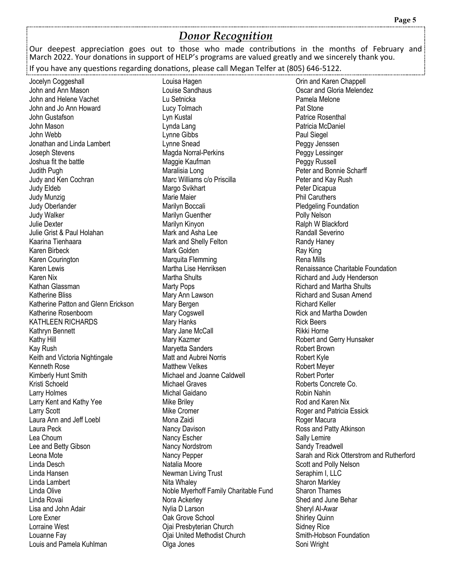## *Donor Recognition*

Our deepest appreciation goes out to those who made contributions in the months of February and March 2022. Your donations in support of HELP's programs are valued greatly and we sincerely thank you.

If you have any questions regarding donations, please call Megan Telfer at (805) 646-5122.

Jocelyn Coggeshall John and Ann Mason John and Helene Vachet John and Jo Ann Howard John Gustafson John Mason John Webb Jonathan and Linda Lambert Joseph Stevens Joshua fit the battle Judith Pugh Judy and Ken Cochran Judy Eldeb Judy Munzig Judy Oberlander Judy Walker Julie Dexter Julie Grist & Paul Holahan Kaarina Tienhaara Karen Birbeck Karen Courington Karen Lewis Karen Nix Kathan Glassman Katherine Bliss Katherine Patton and Glenn Erickson Katherine Rosenboom KATHLEEN RICHARDS Kathryn Bennett Kathy Hill Kay Rush Keith and Victoria Nightingale Kenneth Rose Kimberly Hunt Smith Kristi Schoeld Larry Holmes Larry Kent and Kathy Yee Larry Scott Laura Ann and Jeff Loebl Laura Peck Lea Choum Lee and Betty Gibson Leona Mote Linda Desch Linda Hansen Linda Lambert Linda Olive Linda Rovai Lisa and John Adair Lore Exner Lorraine West Louanne Fay Louis and Pamela Kuhlman

Louisa Hagen Louise Sandhaus Lu Setnicka Lucy Tolmach Lyn Kustal Lynda Lang Lynne Gibbs Lynne Snead Magda Norral-Perkins Maggie Kaufman Maralisia Long Marc Williams c/o Priscilla Margo Svikhart Marie Maier Marilyn Boccali Marilyn Guenther Marilyn Kinyon Mark and Asha Lee Mark and Shelly Felton Mark Golden Marquita Flemming Martha Lise Henriksen Martha Shults Marty Pops Mary Ann Lawson Mary Bergen Mary Cogswell Mary Hanks Mary Jane McCall Mary Kazmer Maryetta Sanders Matt and Aubrei Norris Matthew Velkes Michael and Joanne Caldwell Michael Graves Michal Gaidano Mike Briley Mike Cromer Mona Zaidi Nancy Davison Nancy Escher Nancy Nordstrom Nancy Pepper Natalia Moore Newman Living Trust Nita Whaley Noble Myerhoff Family Charitable Fund Nora Ackerley Nylia D Larson Oak Grove School Ojai Presbyterian Church Ojai United Methodist Church Olga Jones

Orin and Karen Chappell Oscar and Gloria Melendez Pamela Melone Pat Stone Patrice Rosenthal Patricia McDaniel Paul Siegel Peggy Jenssen Peggy Lessinger Peggy Russell Peter and Bonnie Scharff Peter and Kay Rush Peter Dicapua Phil Caruthers Pledgeling Foundation Polly Nelson Ralph W Blackford Randall Severino Randy Haney Ray King Rena Mills Renaissance Charitable Foundation Richard and Judy Henderson Richard and Martha Shults Richard and Susan Amend Richard Keller Rick and Martha Dowden Rick Beers Rikki Horne Robert and Gerry Hunsaker Robert Brown Robert Kyle Robert Meyer Robert Porter Roberts Concrete Co. Robin Nahin Rod and Karen Nix Roger and Patricia Essick Roger Macura Ross and Patty Atkinson Sally Lemire Sandy Treadwell Sarah and Rick Otterstrom and Rutherford Scott and Polly Nelson Seraphim I, LLC Sharon Markley Sharon Thames Shed and June Behar Sheryl Al-Awar Shirley Quinn Sidney Rice Smith-Hobson Foundation Soni Wright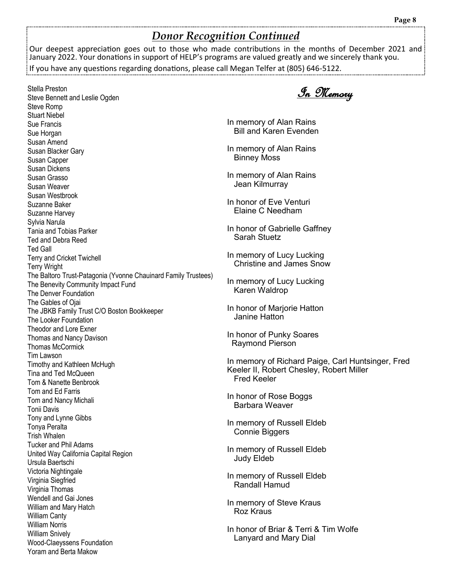# *Donor Recognition Continued*

Our deepest appreciation goes out to those who made contributions in the months of December 2021 and January 2022. Your donations in support of HELP's programs are valued greatly and we sincerely thank you.

If you have any questions regarding donations, please call Megan Telfer at (805) 646-5122.

Stella Preston Steve Bennett and Leslie Ogden Steve Romp Stuart Niebel Sue Francis Sue Horgan Susan Amend Susan Blacker Gary Susan Capper Susan Dickens Susan Grasso Susan Weaver Susan Westbrook Suzanne Baker Suzanne Harvey Sylvia Narula Tania and Tobias Parker Ted and Debra Reed Ted Gall Terry and Cricket Twichell Terry Wright The Baltoro Trust-Patagonia (Yvonne Chauinard Family Trustees) The Benevity Community Impact Fund The Denver Foundation The Gables of Ojai The JBKB Family Trust C/O Boston Bookkeeper The Looker Foundation Theodor and Lore Exner Thomas and Nancy Davison Thomas McCormick Tim Lawson Timothy and Kathleen McHugh Tina and Ted McQueen Tom & Nanette Benbrook Tom and Ed Farris Tom and Nancy Michali Tonii Davis Tony and Lynne Gibbs Tonya Peralta Trish Whalen Tucker and Phil Adams United Way California Capital Region Ursula Baertschi Victoria Nightingale Virginia Siegfried Virginia Thomas Wendell and Gai Jones William and Mary Hatch William Canty William Norris William Snively Wood-Claeyssens Foundation Yoram and Berta Makow

In Memory

In memory of Alan Rains Bill and Karen Evenden

In memory of Alan Rains Binney Moss

In memory of Alan Rains Jean Kilmurray

In honor of Eve Venturi Elaine C Needham

In honor of Gabrielle Gaffney Sarah Stuetz

In memory of Lucy Lucking Christine and James Snow

In memory of Lucy Lucking Karen Waldrop

In honor of Marjorie Hatton Janine Hatton

In honor of Punky Soares Raymond Pierson

In memory of Richard Paige, Carl Huntsinger, Fred Keeler II, Robert Chesley, Robert Miller Fred Keeler

In honor of Rose Boggs Barbara Weaver

In memory of Russell Eldeb Connie Biggers

In memory of Russell Eldeb Judy Eldeb

In memory of Russell Eldeb Randall Hamud

In memory of Steve Kraus Roz Kraus

In honor of Briar & Terri & Tim Wolfe Lanyard and Mary Dial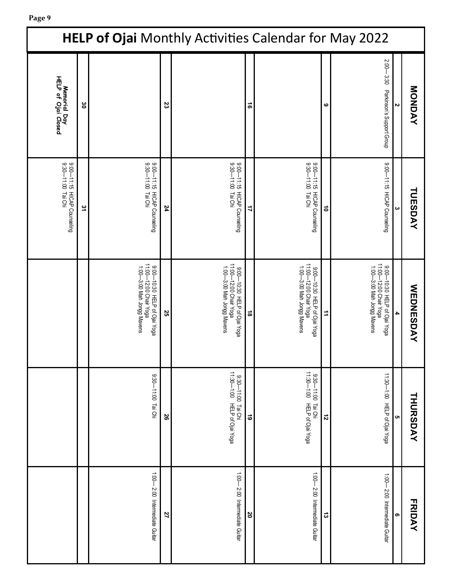| <b>HELP of Ojai Monthly Activities Calendar for May 2022</b> |     |                                                                                      |    |                                                                                      |               |                                                                                      |           |                                                                                      |   |                  |
|--------------------------------------------------------------|-----|--------------------------------------------------------------------------------------|----|--------------------------------------------------------------------------------------|---------------|--------------------------------------------------------------------------------------|-----------|--------------------------------------------------------------------------------------|---|------------------|
| Memorial Day<br>HELP of Ojai Closed                          | ိင် |                                                                                      | 23 |                                                                                      | $\vec{e}$     |                                                                                      | ဖ         | $2:00 - 3:30$<br>Parkinson's Support Group                                           |   | MONDAY           |
| 9:00-11:15 HLCAP Counseling<br>9:00-11:00 Tai Chi            | 31  | 9:00-11:15 HICAP Counseling<br>9:30-11:00 Tai Chi                                    | 24 | 9:00-11:15 HICAP Counseling<br>9:00-11:00 Tai Chi                                    | 4             | 9:00-11:15 HICAP Counseling<br>9:30-11:00 Tai Chi                                    | $\vec{0}$ | 9:00-11:15 HICAP Counseling                                                          |   | TUESDAY          |
|                                                              |     | 9:00—10:30 HELP of Ojai Yoga<br>11:00—12:00 Chair Yoga<br>1:00-3:00 Mah Jongg Mavens | 25 | 11:00-12:00 Chair Yoga<br>1:00-3:00 Mah Jongg Mavens<br>9:00-10:30 HELP of Ojai Yoga | $\vec{\circ}$ | 11:00-12:00 Chair Yoga<br>1:00-3:00 Mah Jongg Mavens<br>9:00-10:30 HELP of Ojai Yoga | ⇉         | 9:00—10:30 HELP of Ojai Yoga<br>11:00—12:00 Chair Yoga<br>1:00-3:00 Mah Jongg Mavens | 4 | <b>WEDNESDAY</b> |
|                                                              |     | 9:30-11:00 Tai Chi                                                                   | 26 | 9:30—11:00 Tai Chi<br>11:30—1:00 HELP of Ojai Yoga                                   | $\vec{6}$     | $11.39 - 1.02$<br>9:30—11:00 Tai Chi<br>1:30—1:00 HELP of Ojai Yoga                  | $\vec{v}$ | 11:30 HELP of Ojai Yoga                                                              |   | <b>THURSDAY</b>  |
|                                                              |     | $1.00 - 2.00$ Intermediate Guitar                                                    | 27 | $1:00 - 2:00$ Intermediate Guitar                                                    | 20            | 1:00 Intermediate Guitar                                                             | ದ         | 1:00-2:00 Intermediate Guitar                                                        | თ | <b>FRIDAY</b>    |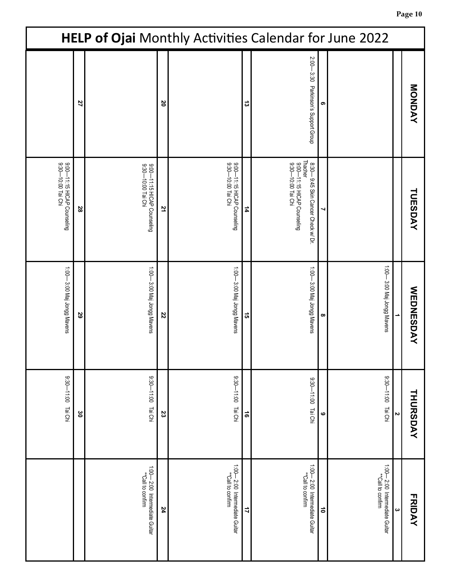| HELP of Ojai Monthly Activities Calendar for June 2022 |                    |                                                   |    |                                                    |           |                                                                                                    |                 |                                                      |   |                  |
|--------------------------------------------------------|--------------------|---------------------------------------------------|----|----------------------------------------------------|-----------|----------------------------------------------------------------------------------------------------|-----------------|------------------------------------------------------|---|------------------|
|                                                        | 27                 |                                                   | 20 |                                                    | ದ         | 2:00-<br>3:30 Parkinson's Support Group                                                            | თ               |                                                      |   | MONDAY           |
| 9:00-11:15 HICAP Counseling<br>9:30-10:00 Tai Chi      | 28                 | 9:00—1115 HICAP Counseling<br>9:30—10:00 Tai Chi  | 71 | 9:00-11:15 HICAP Counseling<br>9:30-10:00 Tai Chi  | 4         | Thacher<br>9:00—11:15 HICAP Counseling<br>9:30—10:00 Tai Chi<br>8:30-9:45 Skin Cancer Check w/ Dr. |                 |                                                      |   | <b>TUESDAY</b>   |
| 1.00—3:00 Maj Jongg Mavens                             | 29                 | 1:00 OM Ondi Jongg Mavens                         | 22 | 1:00 - 3:00 Maj Jongg Mavens                       | <u>ូ</u>  | 1:00 Maj Jongg Mavens                                                                              | ∞               | 1:00 Maj Jongg Mavens                                |   | <b>WEDNESDAY</b> |
| 9:30-11:00 Tai Chi                                     | $\mathbf{\hat{s}}$ | 9:30-11:00 Tai Chi                                | 23 | 9:30-11:00 Tai Chi                                 | $\vec{e}$ | $0:11-00:6$<br>Tai Chi                                                                             | ဖ               | $0:11-00:6$<br>Tai Chi                               | N | <b>THURSDAY</b>  |
|                                                        |                    | 1:00-2:00 Intermediate Guitar<br>"Call to confirm | 24 | 1:00—2:00 Intermediate Guitar<br>**Call to confirm | 4         | 1:00-2:00 Intermediate Guitar<br>**Call to confirm                                                 | $\vec{\bullet}$ | 1:00 - 2:00 Intermediate Guitar<br>**Call to confirm | က | <b>FRIDAY</b>    |